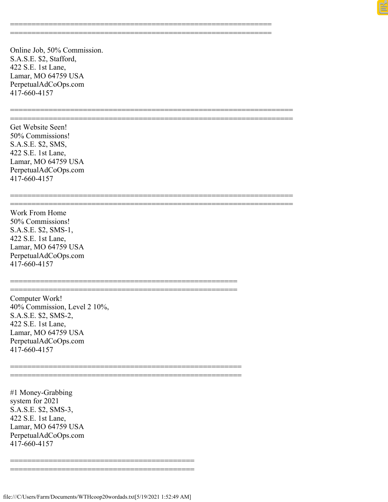Online Job, 50% Commission. S.A.S.E. \$2, Stafford, 422 S.E. 1st Lane, Lamar, MO 64759 USA PerpetualAdCoOps.com 417-660-4157

============================================================= =============================================================

================================================================== ==================================================================

================================================================== ==================================================================

Get Website Seen! 50% Commissions! S.A.S.E. \$2, SMS, 422 S.E. 1st Lane, Lamar, MO 64759 USA PerpetualAdCoOps.com 417-660-4157

Work From Home 50% Commissions! S.A.S.E. \$2, SMS-1, 422 S.E. 1st Lane, Lamar, MO 64759 USA PerpetualAdCoOps.com 417-660-4157

Computer Work! 40% Commission, Level 2 10%, S.A.S.E. \$2, SMS-2, 422 S.E. 1st Lane, Lamar, MO 64759 USA PerpetualAdCoOps.com 417-660-4157

#1 Money-Grabbing system for 2021 S.A.S.E. \$2, SMS-3, 422 S.E. 1st Lane, Lamar, MO 64759 USA PerpetualAdCoOps.com 417-660-4157

=========================================== ===========================================

=====================================================

=====================================================

====================================================== ======================================================